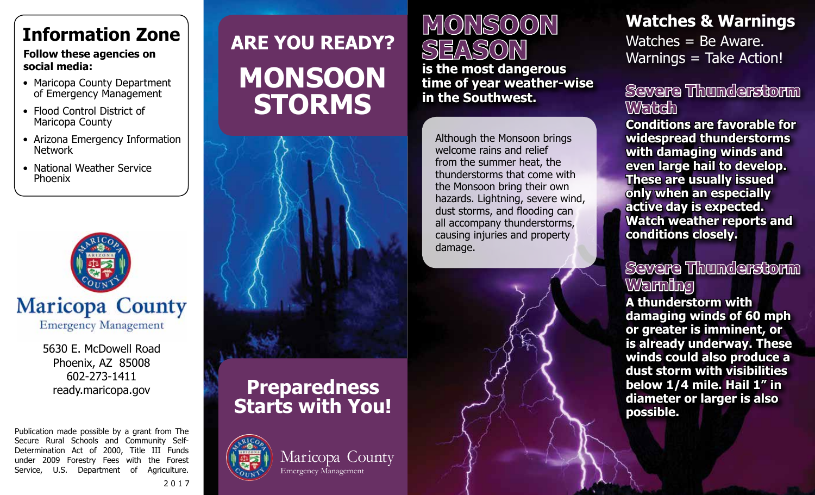# **Information Zone**

#### **Follow these agencies on social media:**

- Maricopa County Department of Emergency Management
- Flood Control District of Maricopa County
- Arizona Emergency Information Network
- National Weather Service Phoenix



5630 E. McDowell Road Phoenix, AZ 85008 602-273-1411 ready.maricopa.gov

Publication made possible by a grant from The Secure Rural Schools and Community Self-Determination Act of 2000, Title III Funds under 2009 Forestry Fees with the Forest Service, U.S. Department of Agriculture.

# **ARE YOU READY? MONSOON STORMS**





2017

# **MONSOON**  SEAS0

**is the most dangerous time of year weather-wise in the Southwest.**

Although the Monsoon brings welcome rains and relief from the summer heat, the thunderstorms that come with the Monsoon bring their own hazards. Lightning, severe wind, dust storms, and flooding can all accompany thunderstorms, causing injuries and property damage.

## **Watches & Warnings**

Watches = Be Aware. Warnings = Take Action!

### **Severe Thunderstorm Watch**

**Conditions are favorable for widespread thunderstorms with damaging winds and even large hail to develop. These are usually issued only when an especially active day is expected. Watch weather reports and conditions closely.**

### **Severe Thunderstorm Warning**

**A thunderstorm with damaging winds of 60 mph or greater is imminent, or is already underway. These winds could also produce a dust storm with visibilities below 1/4 mile. Hail 1" in diameter or larger is also possible.**